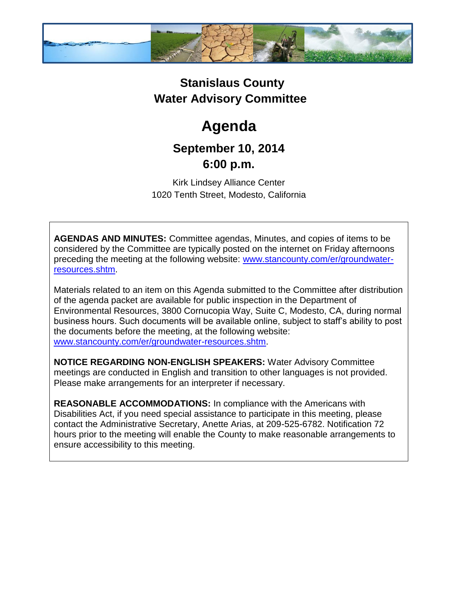

## **Stanislaus County Water Advisory Committee**

# **Agenda**

### **September 10, 2014 6:00 p.m.**

Kirk Lindsey Alliance Center 1020 Tenth Street, Modesto, California

**AGENDAS AND MINUTES:** Committee agendas, Minutes, and copies of items to be considered by the Committee are typically posted on the internet on Friday afternoons preceding the meeting at the following website: [www.stancounty.com/er/groundwater](http://www.stancounty.com/er/groundwater-resources.shtm)[resources.shtm.](http://www.stancounty.com/er/groundwater-resources.shtm)

Materials related to an item on this Agenda submitted to the Committee after distribution of the agenda packet are available for public inspection in the Department of Environmental Resources, 3800 Cornucopia Way, Suite C, Modesto, CA, during normal business hours. Such documents will be available online, subject to staff's ability to post the documents before the meeting, at the following website: [www.stancounty.com/er/groundwater-resources.shtm.](http://www.stancounty.com/er/groundwater-resources.shtm)

**NOTICE REGARDING NON-ENGLISH SPEAKERS:** Water Advisory Committee meetings are conducted in English and transition to other languages is not provided. Please make arrangements for an interpreter if necessary.

**REASONABLE ACCOMMODATIONS:** In compliance with the Americans with Disabilities Act, if you need special assistance to participate in this meeting, please contact the Administrative Secretary, Anette Arias, at 209-525-6782. Notification 72 hours prior to the meeting will enable the County to make reasonable arrangements to ensure accessibility to this meeting.